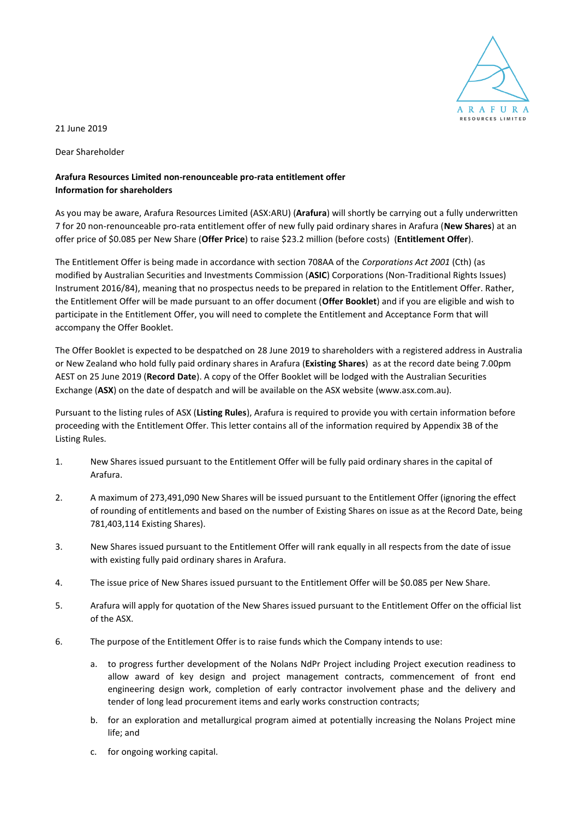

21 June 2019

Dear Shareholder

## **Arafura Resources Limited non-renounceable pro-rata entitlement offer Information for shareholders**

As you may be aware, Arafura Resources Limited (ASX:ARU) (**Arafura**) will shortly be carrying out a fully underwritten 7 for 20 non-renounceable pro-rata entitlement offer of new fully paid ordinary shares in Arafura (**New Shares**) at an offer price of \$0.085 per New Share (**Offer Price**) to raise \$23.2 million (before costs) (**Entitlement Offer**).

The Entitlement Offer is being made in accordance with section 708AA of the *Corporations Act 2001* (Cth) (as modified by Australian Securities and Investments Commission (**ASIC**) Corporations (Non-Traditional Rights Issues) Instrument 2016/84), meaning that no prospectus needs to be prepared in relation to the Entitlement Offer. Rather, the Entitlement Offer will be made pursuant to an offer document (**Offer Booklet**) and if you are eligible and wish to participate in the Entitlement Offer, you will need to complete the Entitlement and Acceptance Form that will accompany the Offer Booklet.

The Offer Booklet is expected to be despatched on 28 June 2019 to shareholders with a registered address in Australia or New Zealand who hold fully paid ordinary shares in Arafura (**Existing Shares**) as at the record date being 7.00pm AEST on 25 June 2019 (**Record Date**). A copy of the Offer Booklet will be lodged with the Australian Securities Exchange (**ASX**) on the date of despatch and will be available on the ASX website (www.asx.com.au).

Pursuant to the listing rules of ASX (**Listing Rules**), Arafura is required to provide you with certain information before proceeding with the Entitlement Offer. This letter contains all of the information required by Appendix 3B of the Listing Rules.

- 1. New Shares issued pursuant to the Entitlement Offer will be fully paid ordinary shares in the capital of Arafura.
- 2. A maximum of 273,491,090 New Shares will be issued pursuant to the Entitlement Offer (ignoring the effect of rounding of entitlements and based on the number of Existing Shares on issue as at the Record Date, being 781,403,114 Existing Shares).
- 3. New Shares issued pursuant to the Entitlement Offer will rank equally in all respects from the date of issue with existing fully paid ordinary shares in Arafura.
- 4. The issue price of New Shares issued pursuant to the Entitlement Offer will be \$0.085 per New Share.
- 5. Arafura will apply for quotation of the New Shares issued pursuant to the Entitlement Offer on the official list of the ASX.
- 6. The purpose of the Entitlement Offer is to raise funds which the Company intends to use:
	- a. to progress further development of the Nolans NdPr Project including Project execution readiness to allow award of key design and project management contracts, commencement of front end engineering design work, completion of early contractor involvement phase and the delivery and tender of long lead procurement items and early works construction contracts;
	- b. for an exploration and metallurgical program aimed at potentially increasing the Nolans Project mine life; and
	- c. for ongoing working capital.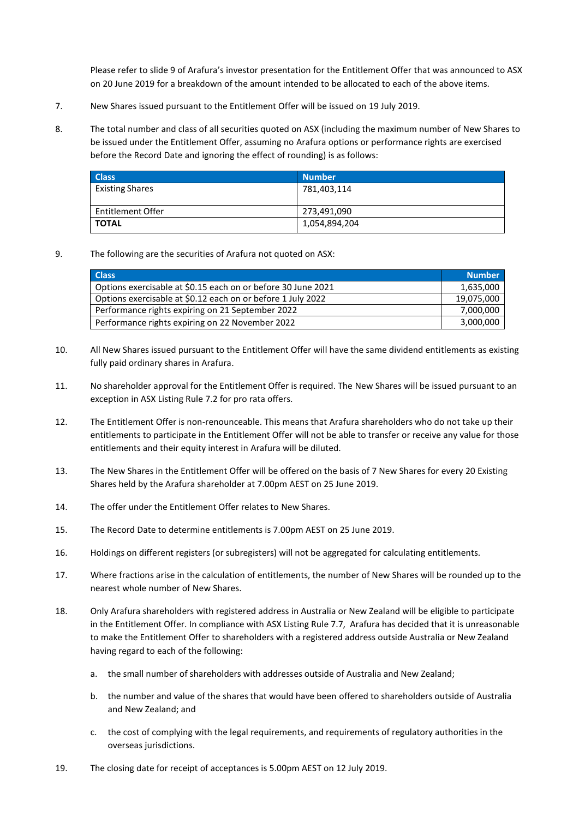Please refer to slide 9 of Arafura's investor presentation for the Entitlement Offer that was announced to ASX on 20 June 2019 for a breakdown of the amount intended to be allocated to each of the above items.

- 7. New Shares issued pursuant to the Entitlement Offer will be issued on 19 July 2019.
- 8. The total number and class of all securities quoted on ASX (including the maximum number of New Shares to be issued under the Entitlement Offer, assuming no Arafura options or performance rights are exercised before the Record Date and ignoring the effect of rounding) is as follows:

| <b>Class</b>           | <b>Number</b> |
|------------------------|---------------|
| <b>Existing Shares</b> | 781,403,114   |
| Entitlement Offer      | 273,491,090   |
| <b>TOTAL</b>           | 1,054,894,204 |

## 9. The following are the securities of Arafura not quoted on ASX:

| <b>Class</b>                                                 | <b>Number</b> |
|--------------------------------------------------------------|---------------|
| Options exercisable at \$0.15 each on or before 30 June 2021 | 1,635,000     |
| Options exercisable at \$0.12 each on or before 1 July 2022  | 19,075,000    |
| Performance rights expiring on 21 September 2022             | 7,000,000     |
| Performance rights expiring on 22 November 2022              | 3,000,000     |

- 10. All New Shares issued pursuant to the Entitlement Offer will have the same dividend entitlements as existing fully paid ordinary shares in Arafura.
- 11. No shareholder approval for the Entitlement Offer is required. The New Shares will be issued pursuant to an exception in ASX Listing Rule 7.2 for pro rata offers.
- 12. The Entitlement Offer is non-renounceable. This means that Arafura shareholders who do not take up their entitlements to participate in the Entitlement Offer will not be able to transfer or receive any value for those entitlements and their equity interest in Arafura will be diluted.
- 13. The New Shares in the Entitlement Offer will be offered on the basis of 7 New Shares for every 20 Existing Shares held by the Arafura shareholder at 7.00pm AEST on 25 June 2019.
- 14. The offer under the Entitlement Offer relates to New Shares.
- 15. The Record Date to determine entitlements is 7.00pm AEST on 25 June 2019.
- 16. Holdings on different registers (or subregisters) will not be aggregated for calculating entitlements.
- 17. Where fractions arise in the calculation of entitlements, the number of New Shares will be rounded up to the nearest whole number of New Shares.
- 18. Only Arafura shareholders with registered address in Australia or New Zealand will be eligible to participate in the Entitlement Offer. In compliance with ASX Listing Rule 7.7, Arafura has decided that it is unreasonable to make the Entitlement Offer to shareholders with a registered address outside Australia or New Zealand having regard to each of the following:
	- a. the small number of shareholders with addresses outside of Australia and New Zealand;
	- b. the number and value of the shares that would have been offered to shareholders outside of Australia and New Zealand; and
	- c. the cost of complying with the legal requirements, and requirements of regulatory authorities in the overseas jurisdictions.
- 19. The closing date for receipt of acceptances is 5.00pm AEST on 12 July 2019.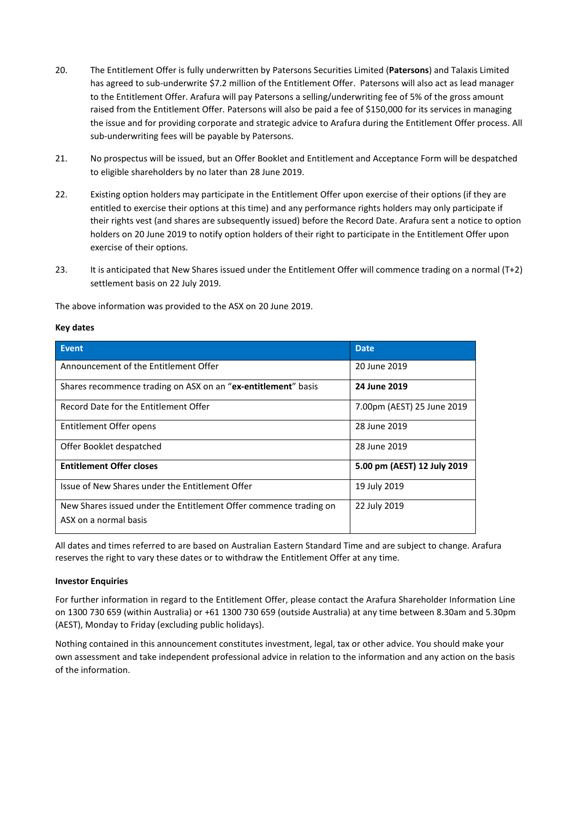- 20. The Entitlement Offer is fully underwritten by Patersons Securities Limited (**Patersons**) and Talaxis Limited has agreed to sub-underwrite \$7.2 million of the Entitlement Offer. Patersons will also act as lead manager to the Entitlement Offer. Arafura will pay Patersons a selling/underwriting fee of 5% of the gross amount raised from the Entitlement Offer. Patersons will also be paid a fee of \$150,000 for its services in managing the issue and for providing corporate and strategic advice to Arafura during the Entitlement Offer process. All sub-underwriting fees will be payable by Patersons.
- 21. No prospectus will be issued, but an Offer Booklet and Entitlement and Acceptance Form will be despatched to eligible shareholders by no later than 28 June 2019.
- 22. Existing option holders may participate in the Entitlement Offer upon exercise of their options (if they are entitled to exercise their options at this time) and any performance rights holders may only participate if their rights vest (and shares are subsequently issued) before the Record Date. Arafura sent a notice to option holders on 20 June 2019 to notify option holders of their right to participate in the Entitlement Offer upon exercise of their options.
- 23. It is anticipated that New Shares issued under the Entitlement Offer will commence trading on a normal (T+2) settlement basis on 22 July 2019.

The above information was provided to the ASX on 20 June 2019.

## **Key dates**

| <b>Event</b>                                                      | <b>Date</b>                 |  |
|-------------------------------------------------------------------|-----------------------------|--|
| Announcement of the Entitlement Offer                             | 20 June 2019                |  |
| Shares recommence trading on ASX on an "ex-entitlement" basis     | 24 June 2019                |  |
| Record Date for the Entitlement Offer                             | 7.00pm (AEST) 25 June 2019  |  |
| Entitlement Offer opens                                           | 28 June 2019                |  |
| Offer Booklet despatched                                          | 28 June 2019                |  |
| <b>Entitlement Offer closes</b>                                   | 5.00 pm (AEST) 12 July 2019 |  |
| Issue of New Shares under the Entitlement Offer                   | 19 July 2019                |  |
| New Shares issued under the Entitlement Offer commence trading on | 22 July 2019                |  |
| ASX on a normal basis                                             |                             |  |

All dates and times referred to are based on Australian Eastern Standard Time and are subject to change. Arafura reserves the right to vary these dates or to withdraw the Entitlement Offer at any time.

## **Investor Enquiries**

For further information in regard to the Entitlement Offer, please contact the Arafura Shareholder Information Line on 1300 730 659 (within Australia) or +61 1300 730 659 (outside Australia) at any time between 8.30am and 5.30pm (AEST), Monday to Friday (excluding public holidays).

Nothing contained in this announcement constitutes investment, legal, tax or other advice. You should make your own assessment and take independent professional advice in relation to the information and any action on the basis of the information.